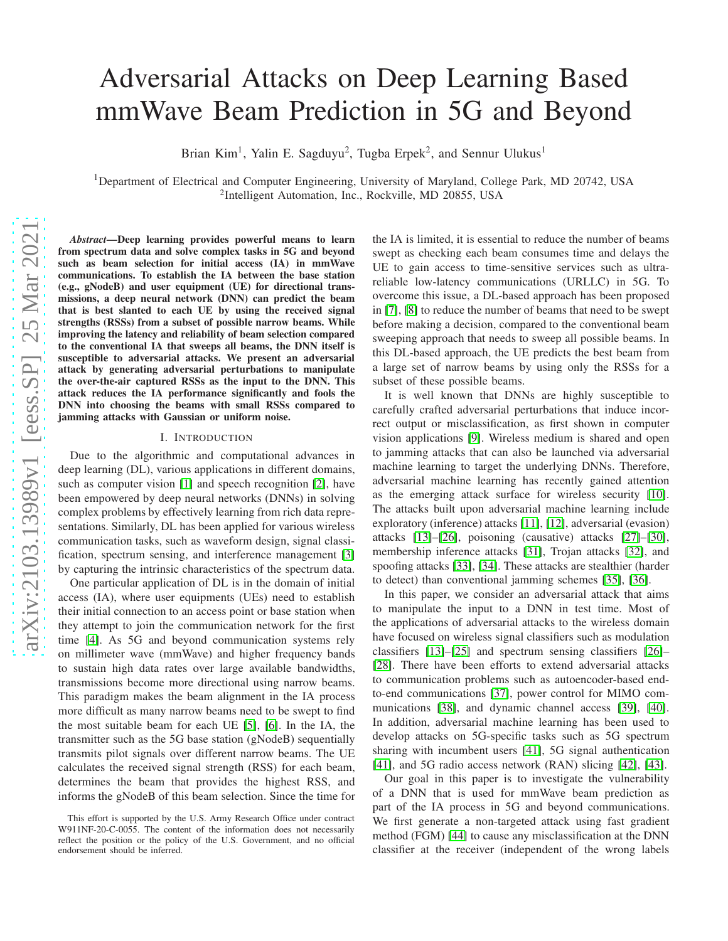# Adversarial Attacks on Deep Learning Based mmWave Beam Prediction in 5G and Beyond

Brian Kim<sup>1</sup>, Yalin E. Sagduyu<sup>2</sup>, Tugba Erpek<sup>2</sup>, and Sennur Ulukus<sup>1</sup>

<sup>1</sup>Department of Electrical and Computer Engineering, University of Maryland, College Park, MD 20742, USA <sup>2</sup>Intelligent Automation, Inc., Rockville, MD 20855, USA

*Abstract*—Deep learning provides powerful means to learn from spectrum data and solve complex tasks in 5G and beyond such as beam selection for initial access (IA) in mmWave communications. To establish the IA between the base station (e.g., gNodeB) and user equipment (UE) for directional transmissions, a deep neural network (DNN) can predict the beam that is best slanted to each UE by using the received signal strengths (RSSs) from a subset of possible narrow beams. While improving the latency and reliability of beam selection compared to the conventional IA that sweeps all beams, the DNN itself is susceptible to adversarial attacks. We present an adversarial attack by generating adversarial perturbations to manipulate the over-the-air captured RSSs as the input to the DNN. This attack reduces the IA performance significantly and fools the DNN into choosing the beams with small RSSs compared to jamming attacks with Gaussian or uniform noise.

#### I. INTRODUCTION

Due to the algorithmic and computational advances in deep learning (DL), various applications in different domains, such as computer vision [\[1\]](#page-4-0) and speech recognition [\[2\]](#page-4-1), have been empowered by deep neural networks (DNNs) in solving complex problems by effectively learning from rich data representations. Similarly, DL has been applied for various wireless communication tasks, such as waveform design, signal classification, spectrum sensing, and interference management [\[3\]](#page-4-2) by capturing the intrinsic characteristics of the spectrum data.

One particular application of DL is in the domain of initial access (IA), where user equipments (UEs) need to establish their initial connection to an access point or base station when they attempt to join the communication network for the first time [\[4\]](#page-4-3). As 5G and beyond communication systems rely on millimeter wave (mmWave) and higher frequency bands to sustain high data rates over large available bandwidths, transmissions become more directional using narrow beams. This paradigm makes the beam alignment in the IA process more difficult as many narrow beams need to be swept to find the most suitable beam for each UE [\[5\]](#page-4-4), [\[6\]](#page-4-5). In the IA, the transmitter such as the 5G base station (gNodeB) sequentially transmits pilot signals over different narrow beams. The UE calculates the received signal strength (RSS) for each beam, determines the beam that provides the highest RSS, and informs the gNodeB of this beam selection. Since the time for

the IA is limited, it is essential to reduce the number of beams swept as checking each beam consumes time and delays the UE to gain access to time-sensitive services such as ultrareliable low-latency communications (URLLC) in 5G. To overcome this issue, a DL-based approach has been proposed in [\[7\]](#page-4-6), [\[8\]](#page-4-7) to reduce the number of beams that need to be swept before making a decision, compared to the conventional beam sweeping approach that needs to sweep all possible beams. In this DL-based approach, the UE predicts the best beam from a large set of narrow beams by using only the RSSs for a subset of these possible beams.

It is well known that DNNs are highly susceptible to carefully crafted adversarial perturbations that induce incorrect output or misclassification, as first shown in computer vision applications [\[9\]](#page-4-8). Wireless medium is shared and open to jamming attacks that can also be launched via adversarial machine learning to target the underlying DNNs. Therefore, adversarial machine learning has recently gained attention as the emerging attack surface for wireless security [\[10\]](#page-4-9). The attacks built upon adversarial machine learning include exploratory (inference) attacks [\[11\]](#page-4-10), [\[12\]](#page-4-11), adversarial (evasion) attacks [\[13\]](#page-4-12)–[\[26\]](#page-4-13), poisoning (causative) attacks [\[27\]](#page-4-14)–[\[30\]](#page-4-15), membership inference attacks [\[31\]](#page-4-16), Trojan attacks [\[32\]](#page-4-17), and spoofing attacks [\[33\]](#page-4-18), [\[34\]](#page-4-19). These attacks are stealthier (harder to detect) than conventional jamming schemes [\[35\]](#page-4-20), [\[36\]](#page-4-21).

In this paper, we consider an adversarial attack that aims to manipulate the input to a DNN in test time. Most of the applications of adversarial attacks to the wireless domain have focused on wireless signal classifiers such as modulation classifiers [\[13\]](#page-4-12)–[\[25\]](#page-4-22) and spectrum sensing classifiers [\[26\]](#page-4-13)– [\[28\]](#page-4-23). There have been efforts to extend adversarial attacks to communication problems such as autoencoder-based endto-end communications [\[37\]](#page-4-24), power control for MIMO communications [\[38\]](#page-4-25), and dynamic channel access [\[39\]](#page-4-26), [\[40\]](#page-4-27). In addition, adversarial machine learning has been used to develop attacks on 5G-specific tasks such as 5G spectrum sharing with incumbent users [\[41\]](#page-4-28), 5G signal authentication [\[41\]](#page-4-28), and 5G radio access network (RAN) slicing [\[42\]](#page-4-29), [\[43\]](#page-4-30).

Our goal in this paper is to investigate the vulnerability of a DNN that is used for mmWave beam prediction as part of the IA process in 5G and beyond communications. We first generate a non-targeted attack using fast gradient method (FGM) [\[44\]](#page-4-31) to cause any misclassification at the DNN classifier at the receiver (independent of the wrong labels

This effort is supported by the U.S. Army Research Office under contract W911NF-20-C-0055. The content of the information does not necessarily reflect the position or the policy of the U.S. Government, and no official endorsement should be inferred.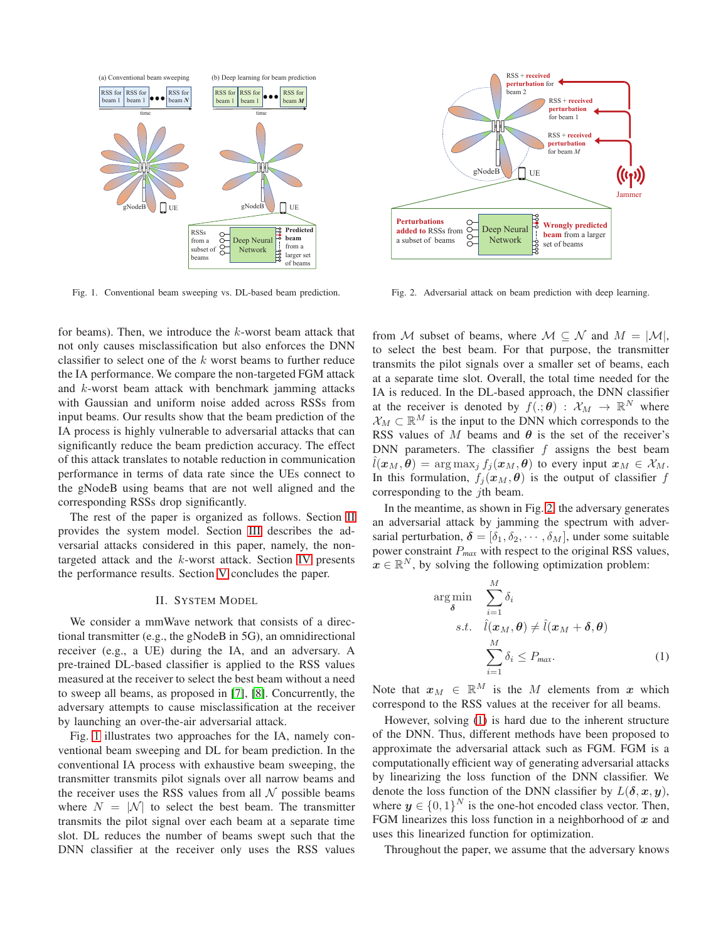

<span id="page-1-1"></span>Fig. 1. Conventional beam sweeping vs. DL-based beam prediction.

for beams). Then, we introduce the k-worst beam attack that not only causes misclassification but also enforces the DNN classifier to select one of the  $k$  worst beams to further reduce the IA performance. We compare the non-targeted FGM attack and k-worst beam attack with benchmark jamming attacks with Gaussian and uniform noise added across RSSs from input beams. Our results show that the beam prediction of the IA process is highly vulnerable to adversarial attacks that can significantly reduce the beam prediction accuracy. The effect of this attack translates to notable reduction in communication performance in terms of data rate since the UEs connect to the gNodeB using beams that are not well aligned and the corresponding RSSs drop significantly.

The rest of the paper is organized as follows. Section [II](#page-1-0) provides the system model. Section [III](#page-2-0) describes the adversarial attacks considered in this paper, namely, the nontargeted attack and the k-worst attack. Section [IV](#page-2-1) presents the performance results. Section [V](#page-3-0) concludes the paper.

#### II. SYSTEM MODEL

<span id="page-1-0"></span>We consider a mmWave network that consists of a directional transmitter (e.g., the gNodeB in 5G), an omnidirectional receiver (e.g., a UE) during the IA, and an adversary. A pre-trained DL-based classifier is applied to the RSS values measured at the receiver to select the best beam without a need to sweep all beams, as proposed in [\[7\]](#page-4-6), [\[8\]](#page-4-7). Concurrently, the adversary attempts to cause misclassification at the receiver by launching an over-the-air adversarial attack.

Fig. [1](#page-1-1) illustrates two approaches for the IA, namely conventional beam sweeping and DL for beam prediction. In the conventional IA process with exhaustive beam sweeping, the transmitter transmits pilot signals over all narrow beams and the receiver uses the RSS values from all  $\mathcal N$  possible beams where  $N = |\mathcal{N}|$  to select the best beam. The transmitter transmits the pilot signal over each beam at a separate time slot. DL reduces the number of beams swept such that the DNN classifier at the receiver only uses the RSS values



<span id="page-1-2"></span>Fig. 2. Adversarial attack on beam prediction with deep learning.

from M subset of beams, where  $M \subseteq N$  and  $M = |M|$ , to select the best beam. For that purpose, the transmitter transmits the pilot signals over a smaller set of beams, each at a separate time slot. Overall, the total time needed for the IA is reduced. In the DL-based approach, the DNN classifier at the receiver is denoted by  $f(.,\theta) : \mathcal{X}_M \to \mathbb{R}^N$  where  $\mathcal{X}_M \subset \mathbb{R}^M$  is the input to the DNN which corresponds to the RSS values of M beams and  $\theta$  is the set of the receiver's DNN parameters. The classifier  $f$  assigns the best beam  $\hat{l}(\boldsymbol{x}_{M}, \boldsymbol{\theta}) = \arg \max_{j} f_{j}(\boldsymbol{x}_{M}, \boldsymbol{\theta})$  to every input  $\boldsymbol{x}_{M} \in \mathcal{X}_{M}$ . In this formulation,  $f_i(\mathbf{x}_M, \boldsymbol{\theta})$  is the output of classifier f corresponding to the *i*th beam.

In the meantime, as shown in Fig. [2,](#page-1-2) the adversary generates an adversarial attack by jamming the spectrum with adversarial perturbation,  $\boldsymbol{\delta} = [\delta_1, \delta_2, \cdots, \delta_M]$ , under some suitable power constraint P*max* with respect to the original RSS values,  $\mathbf{x} \in \mathbb{R}^N$ , by solving the following optimization problem:

<span id="page-1-3"></span>
$$
\arg\min_{\delta} \sum_{i=1}^{M} \delta_{i}
$$
\n
$$
s.t. \quad \hat{l}(\boldsymbol{x}_{M}, \boldsymbol{\theta}) \neq \hat{l}(\boldsymbol{x}_{M} + \boldsymbol{\delta}, \boldsymbol{\theta})
$$
\n
$$
\sum_{i=1}^{M} \delta_{i} \leq P_{\text{max}}.
$$
\n(1)

Note that  $x_M \in \mathbb{R}^M$  is the M elements from x which correspond to the RSS values at the receiver for all beams.

However, solving [\(1\)](#page-1-3) is hard due to the inherent structure of the DNN. Thus, different methods have been proposed to approximate the adversarial attack such as FGM. FGM is a computationally efficient way of generating adversarial attacks by linearizing the loss function of the DNN classifier. We denote the loss function of the DNN classifier by  $L(\delta, x, y)$ , where  $y \in \{0,1\}^N$  is the one-hot encoded class vector. Then, FGM linearizes this loss function in a neighborhood of  $x$  and uses this linearized function for optimization.

Throughout the paper, we assume that the adversary knows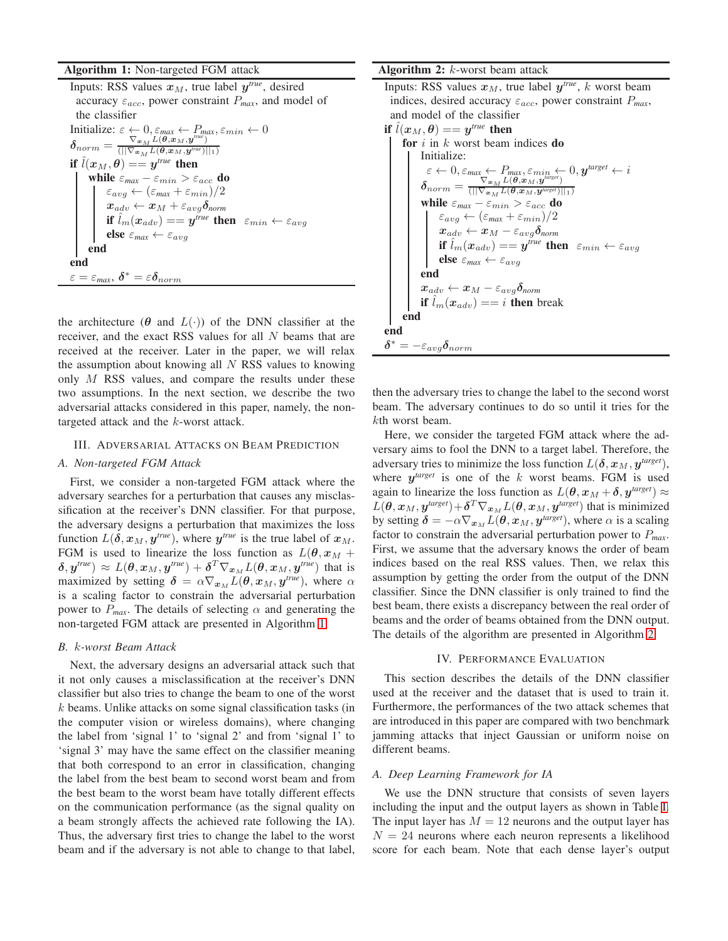#### Algorithm 1: Non-targeted FGM attack

Inputs: RSS values  $x_M$ , true label  $y^{true}$ , desired accuracy  $\varepsilon_{acc}$ , power constraint  $P_{max}$ , and model of the classifier Initialize:  $\varepsilon \leftarrow 0, \varepsilon_{max} \leftarrow P_{max}, \varepsilon_{min} \leftarrow 0$  $\delta_{norm} = \frac{\nabla_{\bm{x}_M} L(\bm{\theta},\bm{x}_M,\bm{y}^{true})}{(||\nabla_{\bm{x}_M} L(\bm{\theta},\bm{x}_M,\bm{y}^{true})||}$  $\left(||\nabla_{{\bm x}}\mathop{\mathcal{H}}\nolimits L({\bm \theta},{\bm x}_M,{\bm y}^{\textit{true}})||_1\right)$ if  $\hat{l}(\boldsymbol{x}_M, \boldsymbol{\theta}) = = \boldsymbol{y}^{\textit{true}}$  then while  $\varepsilon_{max} - \varepsilon_{min} > \varepsilon_{acc}$  do  $\varepsilon_{avg} \leftarrow (\varepsilon_{max} + \varepsilon_{min})/2$  $\boldsymbol{x}_{adv} \leftarrow \boldsymbol{x}_M + \varepsilon_{avg}\boldsymbol{\delta}_{norm}$ if  $\hat{l}_m(x_{adv}) =$   $y^{true}$  then  $\varepsilon_{min} \leftarrow \varepsilon_{avg}$ else $\varepsilon_{\textit{max}} \leftarrow \varepsilon_{avg}$ end end  $\varepsilon = \varepsilon_{max}, \ \boldsymbol{\delta}^* = \varepsilon \boldsymbol{\delta}_{norm}$ 

the architecture ( $\theta$  and  $L(\cdot)$ ) of the DNN classifier at the receiver, and the exact RSS values for all N beams that are received at the receiver. Later in the paper, we will relax the assumption about knowing all  $N$  RSS values to knowing only  $M$  RSS values, and compare the results under these two assumptions. In the next section, we describe the two adversarial attacks considered in this paper, namely, the nontargeted attack and the k-worst attack.

# <span id="page-2-0"></span>III. ADVERSARIAL ATTACKS ON BEAM PREDICTION

#### *A. Non-targeted FGM Attack*

First, we consider a non-targeted FGM attack where the adversary searches for a perturbation that causes any misclassification at the receiver's DNN classifier. For that purpose, the adversary designs a perturbation that maximizes the loss function  $L(\delta, x_M, y^{true})$ , where  $y^{true}$  is the true label of  $x_M$ . FGM is used to linearize the loss function as  $L(\theta, x_M +$  $(\bm{\delta},\bm{y}^\textit{true}) \approx L(\bm{\theta},\bm{x}_M,\bm{y}^\textit{true}) + \bm{\delta}^T \nabla_{\bm{x}_M} L(\bm{\theta},\bm{x}_M,\bm{y}^\textit{true})$  that is maximized by setting  $\delta = \alpha \nabla_{x_M} L(\theta, x_M, y^{true})$ , where  $\alpha$ is a scaling factor to constrain the adversarial perturbation power to  $P_{max}$ . The details of selecting  $\alpha$  and generating the non-targeted FGM attack are presented in Algorithm [1.](#page-2-2)

## <span id="page-2-2"></span>*B.* k*-worst Beam Attack*

Next, the adversary designs an adversarial attack such that it not only causes a misclassification at the receiver's DNN classifier but also tries to change the beam to one of the worst k beams. Unlike attacks on some signal classification tasks (in the computer vision or wireless domains), where changing the label from 'signal 1' to 'signal 2' and from 'signal 1' to 'signal 3' may have the same effect on the classifier meaning that both correspond to an error in classification, changing the label from the best beam to second worst beam and from the best beam to the worst beam have totally different effects on the communication performance (as the signal quality on a beam strongly affects the achieved rate following the IA). Thus, the adversary first tries to change the label to the worst beam and if the adversary is not able to change to that label,

#### **Algorithm 2:**  $k$ -worst beam attack

Inputs: RSS values  $x_M$ , true label  $y^{\text{true}}$ , k worst beam indices, desired accuracy εacc, power constraint P*max*, and model of the classifier

\n if \n 
$$
\hat{l}(x_M, \theta) = y^{true}
$$
 then\n \n for \n *i* in *k* worst beam indices do\n \n  $\text{Initialize:} \\
\varepsilon \leftarrow 0, \varepsilon_{\text{max}} \leftarrow P_{\text{max}}, \varepsilon_{\text{min}} \leftarrow 0, y^{\text{target}} \leftarrow i \\
\varepsilon_{\text{norm}} = \frac{\nabla_{\mathbf{x}_M} L(\theta, \mathbf{x}_M, y^{\text{target}})}{(\|\nabla_{\mathbf{x}_M} L(\theta, \mathbf{x}_M, y^{\text{target}})\|_1)} \\
\n while \n \varepsilon_{\text{max}} - \varepsilon_{\text{min}} > \varepsilon_{\text{acc}} \text{ do} \\
\varepsilon_{\text{avg}} \leftarrow (\varepsilon_{\text{max}} + \varepsilon_{\text{min}})/2 \\
\n x_{\text{adv}} \leftarrow \mathbf{x}_M - \varepsilon_{\text{avg}} \delta_{\text{norm}} \\
\n if \n \hat{l}_m(x_{\text{adv}}) == y^{\text{true}} \text{ then } \varepsilon_{\text{min}} \leftarrow \varepsilon_{\text{avg}} \\
\n end \\
\n x_{\text{adv}} \leftarrow x_M - \varepsilon_{\text{avg}} \delta_{\text{norm}} \\
\n if \n \hat{l}_m(x_{\text{adv}}) == i \text{ then break} \\
\n end \\
\n \delta^* = -\varepsilon_{\text{avg}} \delta_{\text{norm}}$ \n

then the adversary tries to change the label to the second worst beam. The adversary continues to do so until it tries for the kth worst beam.

Here, we consider the targeted FGM attack where the adversary aims to fool the DNN to a target label. Therefore, the adversary tries to minimize the loss function  $L(\delta, x_M, y^{target}),$ where  $y^{target}$  is one of the  $k$  worst beams. FGM is used again to linearize the loss function as  $L(\theta, x_M + \delta, y^{target}) \approx$  $L(\bm{\theta}, \bm{x}_{M}, \bm{y}^{target}) \!+\! \bm{\delta}^{T} \nabla_{\bm{x}_{M}} L(\bm{\theta}, \bm{x}_{M}, \bm{y}^{target})$  that is minimized by setting  $\boldsymbol{\delta} = -\alpha \nabla_{\boldsymbol{x}_M} L(\boldsymbol{\theta}, \boldsymbol{x}_M, \boldsymbol{y}^{\textit{target}})$ , where  $\alpha$  is a scaling factor to constrain the adversarial perturbation power to P*max*. First, we assume that the adversary knows the order of beam indices based on the real RSS values. Then, we relax this assumption by getting the order from the output of the DNN classifier. Since the DNN classifier is only trained to find the best beam, there exists a discrepancy between the real order of beams and the order of beams obtained from the DNN output. The details of the algorithm are presented in Algorithm [2.](#page-2-3)

## IV. PERFORMANCE EVALUATION

<span id="page-2-3"></span><span id="page-2-1"></span>This section describes the details of the DNN classifier used at the receiver and the dataset that is used to train it. Furthermore, the performances of the two attack schemes that are introduced in this paper are compared with two benchmark jamming attacks that inject Gaussian or uniform noise on different beams.

## *A. Deep Learning Framework for IA*

We use the DNN structure that consists of seven layers including the input and the output layers as shown in Table [I.](#page-3-1) The input layer has  $M = 12$  neurons and the output layer has  $N = 24$  neurons where each neuron represents a likelihood score for each beam. Note that each dense layer's output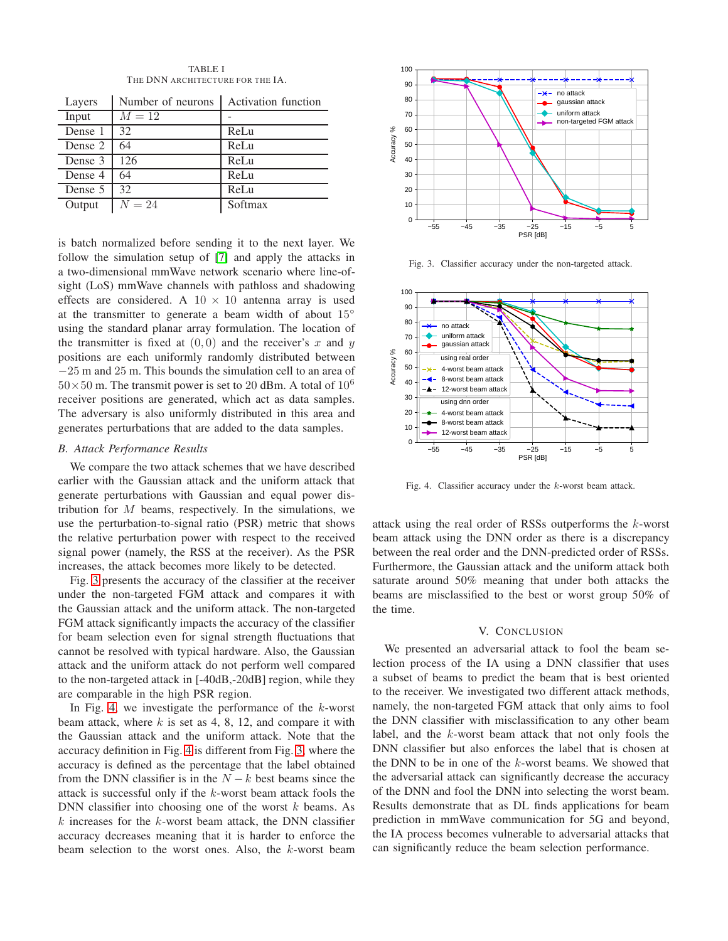| <b>TABLE I</b>                   |
|----------------------------------|
| THE DNN ARCHITECTURE FOR THE IA. |

<span id="page-3-1"></span>

| Layers  | Number of neurons | <b>Activation function</b> |
|---------|-------------------|----------------------------|
| Input   | $M=12$            |                            |
| Dense 1 | 32                | ReLu                       |
| Dense 2 | 64                | ReLu                       |
| Dense 3 | 126               | ReLu                       |
| Dense 4 | 64                | ReLu                       |
| Dense 5 | 32                | ReLu                       |
| Output  | $N=24$            | Softmax                    |

is batch normalized before sending it to the next layer. We follow the simulation setup of [\[7\]](#page-4-6) and apply the attacks in a two-dimensional mmWave network scenario where line-ofsight (LoS) mmWave channels with pathloss and shadowing effects are considered. A  $10 \times 10$  antenna array is used at the transmitter to generate a beam width of about 15◦ using the standard planar array formulation. The location of the transmitter is fixed at  $(0, 0)$  and the receiver's x and y positions are each uniformly randomly distributed between −25 m and 25 m. This bounds the simulation cell to an area of  $50\times50$  m. The transmit power is set to 20 dBm. A total of  $10^6$ receiver positions are generated, which act as data samples. The adversary is also uniformly distributed in this area and generates perturbations that are added to the data samples.

# *B. Attack Performance Results*

We compare the two attack schemes that we have described earlier with the Gaussian attack and the uniform attack that generate perturbations with Gaussian and equal power distribution for  $M$  beams, respectively. In the simulations, we use the perturbation-to-signal ratio (PSR) metric that shows the relative perturbation power with respect to the received signal power (namely, the RSS at the receiver). As the PSR increases, the attack becomes more likely to be detected.

Fig. [3](#page-3-2) presents the accuracy of the classifier at the receiver under the non-targeted FGM attack and compares it with the Gaussian attack and the uniform attack. The non-targeted FGM attack significantly impacts the accuracy of the classifier for beam selection even for signal strength fluctuations that cannot be resolved with typical hardware. Also, the Gaussian attack and the uniform attack do not perform well compared to the non-targeted attack in [-40dB,-20dB] region, while they are comparable in the high PSR region.

In Fig. [4,](#page-3-3) we investigate the performance of the  $k$ -worst beam attack, where  $k$  is set as 4, 8, 12, and compare it with the Gaussian attack and the uniform attack. Note that the accuracy definition in Fig. [4](#page-3-3) is different from Fig. [3,](#page-3-2) where the accuracy is defined as the percentage that the label obtained from the DNN classifier is in the  $N - k$  best beams since the attack is successful only if the k-worst beam attack fools the DNN classifier into choosing one of the worst  $k$  beams. As  $k$  increases for the  $k$ -worst beam attack, the DNN classifier accuracy decreases meaning that it is harder to enforce the beam selection to the worst ones. Also, the  $k$ -worst beam



<span id="page-3-2"></span>Fig. 3. Classifier accuracy under the non-targeted attack.



<span id="page-3-3"></span>Fig. 4. Classifier accuracy under the k-worst beam attack.

attack using the real order of RSSs outperforms the k-worst beam attack using the DNN order as there is a discrepancy between the real order and the DNN-predicted order of RSSs. Furthermore, the Gaussian attack and the uniform attack both saturate around 50% meaning that under both attacks the beams are misclassified to the best or worst group 50% of the time.

#### V. CONCLUSION

<span id="page-3-0"></span>We presented an adversarial attack to fool the beam selection process of the IA using a DNN classifier that uses a subset of beams to predict the beam that is best oriented to the receiver. We investigated two different attack methods, namely, the non-targeted FGM attack that only aims to fool the DNN classifier with misclassification to any other beam label, and the k-worst beam attack that not only fools the DNN classifier but also enforces the label that is chosen at the DNN to be in one of the k-worst beams. We showed that the adversarial attack can significantly decrease the accuracy of the DNN and fool the DNN into selecting the worst beam. Results demonstrate that as DL finds applications for beam prediction in mmWave communication for 5G and beyond, the IA process becomes vulnerable to adversarial attacks that can significantly reduce the beam selection performance.